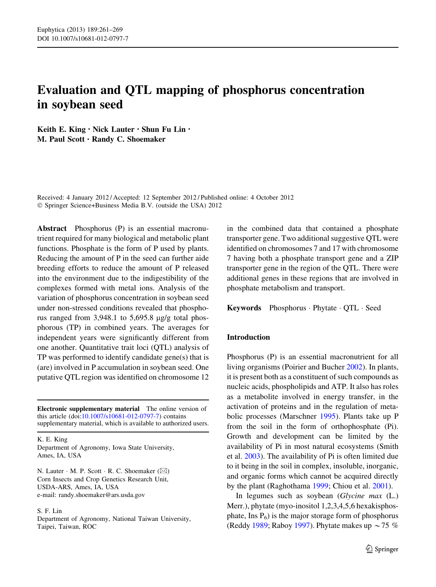# Evaluation and QTL mapping of phosphorus concentration in soybean seed

Keith E. King • Nick Lauter • Shun Fu Lin • M. Paul Scott • Randy C. Shoemaker

Received: 4 January 2012 / Accepted: 12 September 2012 / Published online: 4 October 2012 © Springer Science+Business Media B.V. (outside the USA) 2012

Abstract Phosphorus (P) is an essential macronutrient required for many biological and metabolic plant functions. Phosphate is the form of P used by plants. Reducing the amount of P in the seed can further aide breeding efforts to reduce the amount of P released into the environment due to the indigestibility of the complexes formed with metal ions. Analysis of the variation of phosphorus concentration in soybean seed under non-stressed conditions revealed that phosphorus ranged from  $3,948.1$  to  $5,695.8$  µg/g total phosphorous (TP) in combined years. The averages for independent years were significantly different from one another. Quantitative trait loci (QTL) analysis of TP was performed to identify candidate gene(s) that is (are) involved in P accumulation in soybean seed. One putative QTL region was identified on chromosome 12

Electronic supplementary material The online version of this article (doi[:10.1007/s10681-012-0797-7\)](http://dx.doi.org/10.1007/s10681-012-0797-7) contains supplementary material, which is available to authorized users.

K. E. King

Department of Agronomy, Iowa State University, Ames, IA, USA

N. Lauter  $\cdot$  M. P. Scott  $\cdot$  R. C. Shoemaker ( $\boxtimes$ ) Corn Insects and Crop Genetics Research Unit, USDA-ARS, Ames, IA, USA e-mail: randy.shoemaker@ars.usda.gov

#### S. F. Lin

Department of Agronomy, National Taiwan University, Taipei, Taiwan, ROC

in the combined data that contained a phosphate transporter gene. Two additional suggestive QTL were identified on chromosomes 7 and 17 with chromosome 7 having both a phosphate transport gene and a ZIP transporter gene in the region of the QTL. There were additional genes in these regions that are involved in phosphate metabolism and transport.

Keywords Phosphorus - Phytate - QTL - Seed

## Introduction

Phosphorus (P) is an essential macronutrient for all living organisms (Poirier and Bucher [2002](#page-8-0)). In plants, it is present both as a constituent of such compounds as nucleic acids, phospholipids and ATP. It also has roles as a metabolite involved in energy transfer, in the activation of proteins and in the regulation of metabolic processes (Marschner [1995\)](#page-7-0). Plants take up P from the soil in the form of orthophosphate (Pi). Growth and development can be limited by the availability of Pi in most natural ecosystems (Smith et al. [2003\)](#page-8-0). The availability of Pi is often limited due to it being in the soil in complex, insoluble, inorganic, and organic forms which cannot be acquired directly by the plant (Raghothama [1999](#page-8-0); Chiou et al. [2001\)](#page-7-0).

In legumes such as soybean (Glycine max (L.) Merr.), phytate (myo-inositol 1,2,3,4,5,6 hexakisphosphate, Ins  $P_6$ ) is the major storage form of phosphorus (Reddy [1989](#page-8-0); Raboy [1997](#page-8-0)). Phytate makes up  $\sim$  75 %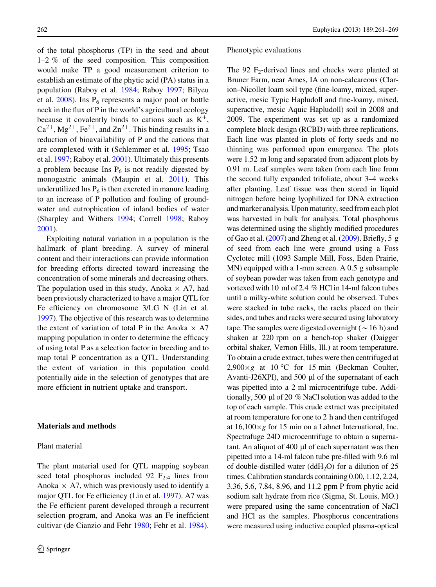of the total phosphorus (TP) in the seed and about 1–2 % of the seed composition. This composition would make TP a good measurement criterion to establish an estimate of the phytic acid (PA) status in a population (Raboy et al. [1984;](#page-8-0) Raboy [1997;](#page-8-0) Bilyeu et al.  $2008$ ). Ins  $P_6$  represents a major pool or bottle neck in the flux of P in the world's agricultural ecology because it covalently binds to cations such as  $K^+$ ,  $Ca^{2+}$ ,  $Mg^{2+}$ ,  $Fe^{2+}$ , and  $Zn^{2+}$ . This binding results in a reduction of bioavailability of P and the cations that are complexed with it (Schlemmer et al. [1995;](#page-8-0) Tsao et al. [1997](#page-8-0); Raboy et al. [2001\)](#page-8-0). Ultimately this presents a problem because Ins  $P_6$  is not readily digested by monogastric animals (Maupin et al. [2011\)](#page-7-0). This underutilized Ins  $P_6$  is then excreted in manure leading to an increase of P pollution and fouling of groundwater and eutrophication of inland bodies of water (Sharpley and Withers [1994;](#page-8-0) Correll [1998](#page-7-0); Raboy [2001\)](#page-8-0).

Exploiting natural variation in a population is the hallmark of plant breeding. A survey of mineral content and their interactions can provide information for breeding efforts directed toward increasing the concentration of some minerals and decreasing others. The population used in this study, Anoka  $\times$  A7, had been previously characterized to have a major QTL for Fe efficiency on chromosome 3/LG N (Lin et al. [1997\)](#page-7-0). The objective of this research was to determine the extent of variation of total P in the Anoka  $\times$  A7 mapping population in order to determine the efficacy of using total P as a selection factor in breeding and to map total P concentration as a QTL. Understanding the extent of variation in this population could potentially aide in the selection of genotypes that are more efficient in nutrient uptake and transport.

#### Materials and methods

## Plant material

The plant material used for QTL mapping soybean seed total phosphorus included 92  $F_{2:4}$  lines from Anoka  $\times$  A7, which was previously used to identify a major QTL for Fe efficiency (Lin et al. [1997\)](#page-7-0). A7 was the Fe efficient parent developed through a recurrent selection program, and Anoka was an Fe inefficient cultivar (de Cianzio and Fehr [1980;](#page-7-0) Fehr et al. [1984](#page-7-0)).

#### Phenotypic evaluations

The 92  $F_2$ -derived lines and checks were planted at Bruner Farm, near Ames, IA on non-calcareous (Clarion–Nicollet loam soil type (fine-loamy, mixed, superactive, mesic Typic Hapludoll and fine-loamy, mixed, superactive, mesic Aquic Hapludoll) soil in 2008 and 2009. The experiment was set up as a randomized complete block design (RCBD) with three replications. Each line was planted in plots of forty seeds and no thinning was performed upon emergence. The plots were 1.52 m long and separated from adjacent plots by 0.91 m. Leaf samples were taken from each line from the second fully expanded trifoliate, about 3–4 weeks after planting. Leaf tissue was then stored in liquid nitrogen before being lyophilized for DNA extraction and marker analysis. Upon maturity, seed from each plot was harvested in bulk for analysis. Total phosphorus was determined using the slightly modified procedures of Gao et al. [\(2007](#page-7-0)) and Zheng et al. [\(2009](#page-8-0)). Briefly, 5 g of seed from each line were ground using a Foss Cyclotec mill (1093 Sample Mill, Foss, Eden Prairie, MN) equipped with a 1-mm screen. A 0.5 g subsample of soybean powder was taken from each genotype and vortexed with 10 ml of 2.4 % HCl in 14-ml falcon tubes until a milky-white solution could be observed. Tubes were stacked in tube racks, the racks placed on their sides, and tubes and racks were secured using laboratory tape. The samples were digested overnight ( $\sim$  16 h) and shaken at 220 rpm on a bench-top shaker (Daigger orbital shaker, Vernon Hills, Ill.) at room temperature. To obtain a crude extract, tubes were then centrifuged at  $2,900\times g$  at 10 °C for 15 min (Beckman Coulter, Avanti-J26XPI), and 500 µl of the supernatant of each was pipetted into a 2 ml microcentrifuge tube. Additionally, 500  $\mu$ l of 20 % NaCl solution was added to the top of each sample. This crude extract was precipitated at room temperature for one to 2 h and then centrifuged at  $16,100 \times g$  for 15 min on a Labnet International, Inc. Spectrafuge 24D microcentrifuge to obtain a supernatant. An aliquot of  $400 \mu$  of each supernatant was then pipetted into a 14-ml falcon tube pre-filled with 9.6 ml of double-distilled water (ddH<sub>2</sub>O) for a dilution of 25 times. Calibration standards containing 0.00, 1.12, 2.24, 3.36, 5.6, 7.84, 8.96, and 11.2 ppm P from phytic acid sodium salt hydrate from rice (Sigma, St. Louis, MO.) were prepared using the same concentration of NaCl and HCl as the samples. Phosphorus concentrations were measured using inductive coupled plasma-optical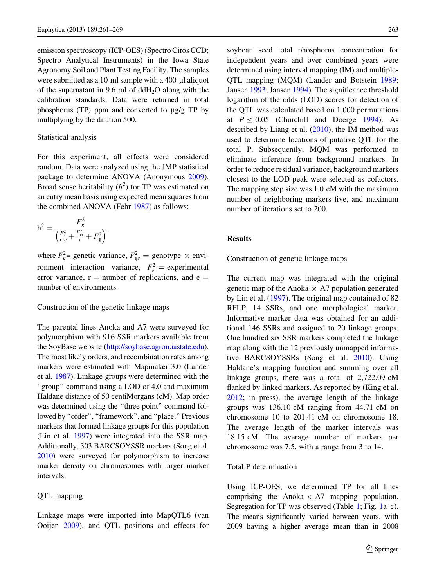emission spectroscopy (ICP-OES) (Spectro Ciros CCD; Spectro Analytical Instruments) in the Iowa State Agronomy Soil and Plant Testing Facility. The samples were submitted as a 10 ml sample with a 400  $\mu$ l aliquot of the supernatant in 9.6 ml of  $ddH<sub>2</sub>O$  along with the calibration standards. Data were returned in total phosphorus (TP) ppm and converted to  $\mu$ g/g TP by multiplying by the dilution 500.

## Statistical analysis

For this experiment, all effects were considered random. Data were analyzed using the JMP statistical package to determine ANOVA (Anonymous [2009](#page-7-0)). Broad sense heritability  $(h^2)$  for TP was estimated on an entry mean basis using expected mean squares from the combined ANOVA (Fehr [1987](#page-7-0)) as follows:

$$
h^2 = \frac{F_g^2}{\left(\frac{F_e^2}{rxe} + \frac{F_{ge}^2}{e} + F_g^2\right)}
$$

where  $F_g^2$  genetic variance,  $F_{ge}^2$  genotype  $\times$  environment interaction variance,  $F_e^2$  = experimental error variance,  $r =$  number of replications, and  $e =$ number of environments.

## Construction of the genetic linkage maps

The parental lines Anoka and A7 were surveyed for polymorphism with 916 SSR markers available from the SoyBase website (<http://soybase.agron.iastate.edu>). The most likely orders, and recombination rates among markers were estimated with Mapmaker 3.0 (Lander et al. [1987](#page-7-0)). Linkage groups were determined with the ''group'' command using a LOD of 4.0 and maximum Haldane distance of 50 centiMorgans (cM). Map order was determined using the "three point" command followed by "order", "framework", and "place." Previous markers that formed linkage groups for this population (Lin et al. [1997](#page-7-0)) were integrated into the SSR map. Additionally, 303 BARCSOYSSR markers (Song et al. [2010](#page-8-0)) were surveyed for polymorphism to increase marker density on chromosomes with larger marker intervals.

## QTL mapping

Linkage maps were imported into MapQTL6 (van Ooijen [2009\)](#page-8-0), and QTL positions and effects for soybean seed total phosphorus concentration for independent years and over combined years were determined using interval mapping (IM) and multiple-QTL mapping (MQM) (Lander and Botstein [1989](#page-7-0); Jansen [1993;](#page-7-0) Jansen [1994](#page-7-0)). The significance threshold logarithm of the odds (LOD) scores for detection of the QTL was calculated based on 1,000 permutations at  $P \le 0.05$  (Churchill and Doerge [1994](#page-7-0)). As described by Liang et al. [\(2010](#page-7-0)), the IM method was used to determine locations of putative QTL for the total P. Subsequently, MQM was performed to eliminate inference from background markers. In order to reduce residual variance, background markers closest to the LOD peak were selected as cofactors. The mapping step size was 1.0 cM with the maximum number of neighboring markers five, and maximum number of iterations set to 200.

# Results

Construction of genetic linkage maps

The current map was integrated with the original genetic map of the Anoka  $\times$  A7 population generated by Lin et al. ([1997\)](#page-7-0). The original map contained of 82 RFLP, 14 SSRs, and one morphological marker. Informative marker data was obtained for an additional 146 SSRs and assigned to 20 linkage groups. One hundred six SSR markers completed the linkage map along with the 12 previously unmapped informative BARCSOYSSRs (Song et al. [2010\)](#page-8-0). Using Haldane's mapping function and summing over all linkage groups, there was a total of 2,722.09 cM flanked by linked markers. As reported by (King et al. [2012;](#page-7-0) in press), the average length of the linkage groups was 136.10 cM ranging from 44.71 cM on chromosome 10 to 201.41 cM on chromosome 18. The average length of the marker intervals was 18.15 cM. The average number of markers per chromosome was 7.5, with a range from 3 to 14.

# Total P determination

Using ICP-OES, we determined TP for all lines comprising the Anoka  $\times$  A7 mapping population. Segregation for TP was observed (Table [1](#page-4-0); Fig. [1a](#page-3-0)–c). The means significantly varied between years, with 2009 having a higher average mean than in 2008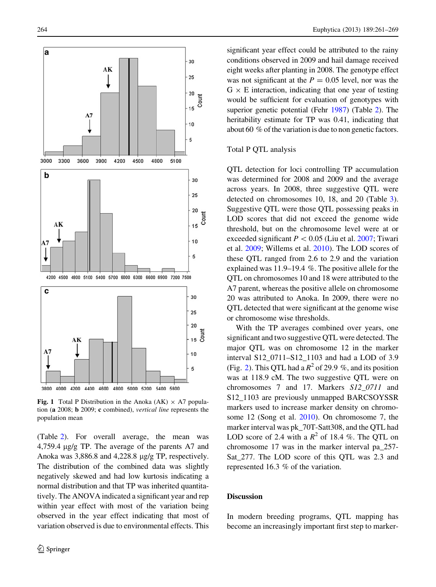<span id="page-3-0"></span>

Fig. 1 Total P Distribution in the Anoka (AK)  $\times$  A7 population (a 2008; b 2009; c combined), vertical line represents the population mean

(Table [2\)](#page-4-0). For overall average, the mean was 4,759.4 µg/g TP. The average of the parents A7 and Anoka was  $3,886.8$  and  $4,228.8$   $\mu$ g/g TP, respectively. The distribution of the combined data was slightly negatively skewed and had low kurtosis indicating a normal distribution and that TP was inherited quantitatively. The ANOVA indicated a significant year and rep within year effect with most of the variation being observed in the year effect indicating that most of variation observed is due to environmental effects. This significant year effect could be attributed to the rainy conditions observed in 2009 and hail damage received eight weeks after planting in 2008. The genotype effect was not significant at the  $P = 0.05$  level, nor was the  $G \times E$  interaction, indicating that one year of testing would be sufficient for evaluation of genotypes with superior genetic potential (Fehr [1987\)](#page-7-0) (Table [2\)](#page-4-0). The heritability estimate for TP was 0.41, indicating that about 60 % of the variation is due to non genetic factors.

# Total P QTL analysis

QTL detection for loci controlling TP accumulation was determined for 2008 and 2009 and the average across years. In 2008, three suggestive QTL were detected on chromosomes 10, 18, and 20 (Table [3](#page-5-0)). Suggestive QTL were those QTL possessing peaks in LOD scores that did not exceed the genome wide threshold, but on the chromosome level were at or exceeded significant  $P < 0.05$  (Liu et al. [2007;](#page-7-0) Tiwari et al. [2009;](#page-8-0) Willems et al. [2010](#page-8-0)). The LOD scores of these QTL ranged from 2.6 to 2.9 and the variation explained was 11.9–19.4 %. The positive allele for the QTL on chromosomes 10 and 18 were attributed to the A7 parent, whereas the positive allele on chromosome 20 was attributed to Anoka. In 2009, there were no QTL detected that were significant at the genome wise or chromosome wise thresholds.

With the TP averages combined over years, one significant and two suggestive QTL were detected. The major QTL was on chromosome 12 in the marker interval S12\_0711–S12\_1103 and had a LOD of 3.9 (Fig. [2](#page-4-0)). This QTL had a  $R^2$  of 29.9 %, and its position was at 118.9 cM. The two suggestive QTL were on chromosomes 7 and 17. Markers S12\_0711 and S12 1103 are previously unmapped BARCSOYSSR markers used to increase marker density on chromosome 12 (Song et al. [2010\)](#page-8-0). On chromosome 7, the marker interval was pk\_70T-Satt308, and the QTL had LOD score of 2.4 with a  $R^2$  of 18.4 %. The QTL on chromosome 17 was in the marker interval pa\_257- Sat\_277. The LOD score of this QTL was 2.3 and represented 16.3 % of the variation.

#### **Discussion**

In modern breeding programs, QTL mapping has become an increasingly important first step to marker-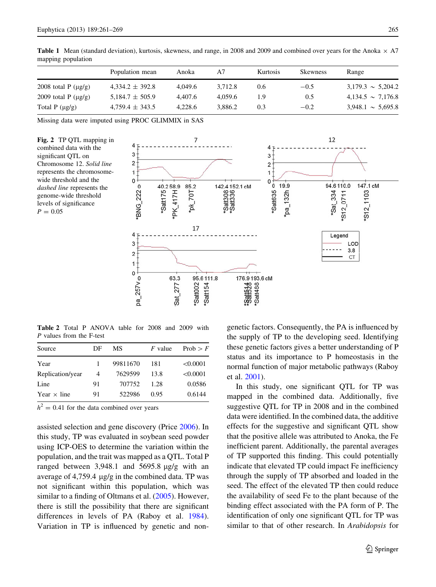<span id="page-4-0"></span>**Table 1** Mean (standard deviation), kurtosis, skewness, and range, in 2008 and 2009 and combined over years for the Anoka  $\times$  A7 mapping population

|                          | Population mean     | Anoka   | Α7      | <b>Kurtosis</b> | <b>Skewness</b> | Range                  |
|--------------------------|---------------------|---------|---------|-----------------|-----------------|------------------------|
| 2008 total P $(\mu g/g)$ | $4.334.2 \pm 392.8$ | 4.049.6 | 3.712.8 | 0.6             | $-0.5$          | $3,179.3 \sim 5,204.2$ |
| 2009 total P $(\mu g/g)$ | $5,184.7 \pm 505.9$ | 4.407.6 | 4.059.6 | 1.9             | 0.5             | $4,134.5 \sim 7,176.8$ |
| Total $P(\mu g/g)$       | $4,759.4 \pm 343.5$ | 4.228.6 | 3.886.2 | 0.3             | $-0.2$          | $3,948.1 \sim 5,695.8$ |

Missing data were imputed using PROC GLIMMIX in SAS





Table 2 Total P ANOVA table for 2008 and 2009 with P values from the F-test

| Source             | DF | МS       | $F$ value | Prob $\geq F$ |
|--------------------|----|----------|-----------|---------------|
| Year               |    | 99811670 | 181       | < 0.0001      |
| Replication/year   | 4  | 7629599  | 13.8      | < 0.0001      |
| Line               | 91 | 707752   | 1.28      | 0.0586        |
| Year $\times$ line | 91 | 522986   | 0.95      | 0.6144        |

 $h^2 = 0.41$  for the data combined over years

assisted selection and gene discovery (Price [2006](#page-8-0)). In this study, TP was evaluated in soybean seed powder using ICP-OES to determine the variation within the population, and the trait was mapped as a QTL. Total P ranged between  $3,948.1$  and  $5695.8 \text{ µg/g}$  with an average of  $4,759.4 \mu g/g$  in the combined data. TP was not significant within this population, which was similar to a finding of Oltmans et al. [\(2005](#page-8-0)). However, there is still the possibility that there are significant differences in levels of PA (Raboy et al. [1984](#page-8-0)). Variation in TP is influenced by genetic and nongenetic factors. Consequently, the PA is influenced by the supply of TP to the developing seed. Identifying these genetic factors gives a better understanding of P status and its importance to P homeostasis in the normal function of major metabolic pathways (Raboy et al. [2001](#page-8-0)).

In this study, one significant QTL for TP was mapped in the combined data. Additionally, five suggestive QTL for TP in 2008 and in the combined data were identified. In the combined data, the additive effects for the suggestive and significant QTL show that the positive allele was attributed to Anoka, the Fe inefficient parent. Additionally, the parental averages of TP supported this finding. This could potentially indicate that elevated TP could impact Fe inefficiency through the supply of TP absorbed and loaded in the seed. The effect of the elevated TP then could reduce the availability of seed Fe to the plant because of the binding effect associated with the PA form of P. The identification of only one significant QTL for TP was similar to that of other research. In Arabidopsis for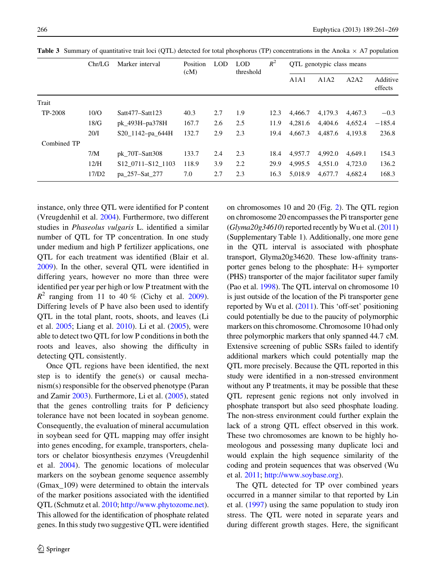|             | Chr/LG | Marker interval                                        | Position<br>(cM) | LOD | LOD<br>threshold | $R^2$ | QTL genotypic class means |         |         |                     |
|-------------|--------|--------------------------------------------------------|------------------|-----|------------------|-------|---------------------------|---------|---------|---------------------|
|             |        |                                                        |                  |     |                  |       | A1A1                      | A1A2    | A2A2    | Additive<br>effects |
| Trait       |        |                                                        |                  |     |                  |       |                           |         |         |                     |
| TP-2008     | 10/O   | Satt477-Satt123                                        | 40.3             | 2.7 | 1.9              | 12.3  | 4.466.7                   | 4.179.3 | 4.467.3 | $-0.3$              |
|             | 18/G   | pk_493H-pa378H                                         | 167.7            | 2.6 | 2.5              | 11.9  | 4.281.6                   | 4.404.6 | 4.652.4 | $-185.4$            |
|             | 20/I   | S20_1142-pa_644H                                       | 132.7            | 2.9 | 2.3              | 19.4  | 4.667.3                   | 4,487.6 | 4.193.8 | 236.8               |
| Combined TP |        |                                                        |                  |     |                  |       |                           |         |         |                     |
|             | 7/M    | pk 70T-Satt308                                         | 133.7            | 2.4 | 2.3              | 18.4  | 4,957.7                   | 4.992.0 | 4.649.1 | 154.3               |
|             | 12/H   | S <sub>12</sub> 07 <sub>11</sub> -S <sub>12</sub> 1103 | 118.9            | 3.9 | 2.2              | 29.9  | 4.995.5                   | 4,551.0 | 4,723.0 | 136.2               |
|             | 17/D2  | pa 257–Sat 277                                         | 7.0              | 2.7 | 2.3              | 16.3  | 5.018.9                   | 4,677.7 | 4.682.4 | 168.3               |

<span id="page-5-0"></span>**Table 3** Summary of quantitative trait loci (OTL) detected for total phosphorus (TP) concentrations in the Anoka  $\times$  A7 population

instance, only three QTL were identified for P content (Vreugdenhil et al. [2004\)](#page-8-0). Furthermore, two different studies in Phaseolus vulgaris L. identified a similar number of QTL for TP concentration. In one study under medium and high P fertilizer applications, one QTL for each treatment was identified (Blair et al. [2009\)](#page-7-0). In the other, several QTL were identified in differing years, however no more than three were identified per year per high or low P treatment with the  $R^2$  ranging from 11 to 40 % (Cichy et al. [2009](#page-7-0)). Differing levels of P have also been used to identify QTL in the total plant, roots, shoots, and leaves (Li et al. [2005](#page-7-0); Liang et al. [2010\)](#page-7-0). Li et al. ([2005\)](#page-7-0), were able to detect two QTL for low P conditions in both the roots and leaves, also showing the difficulty in detecting QTL consistently.

Once QTL regions have been identified, the next step is to identify the gene(s) or causal mechanism(s) responsible for the observed phenotype (Paran and Zamir [2003\)](#page-8-0). Furthermore, Li et al. ([2005\)](#page-7-0), stated that the genes controlling traits for P deficiency tolerance have not been located in soybean genome. Consequently, the evaluation of mineral accumulation in soybean seed for QTL mapping may offer insight into genes encoding, for example, transporters, chelators or chelator biosynthesis enzymes (Vreugdenhil et al. [2004\)](#page-8-0). The genomic locations of molecular markers on the soybean genome sequence assembly (Gmax\_109) were determined to obtain the intervals of the marker positions associated with the identified QTL (Schmutz et al. [2010](#page-8-0); <http://www.phytozome.net>). This allowed for the identification of phosphate related genes. In this study two suggestive QTL were identified on chromosomes 10 and 20 (Fig. [2\)](#page-4-0). The QTL region on chromosome 20 encompasses the Pi transporter gene  $(Glyma20g34610)$  reported recently by Wu et al.  $(2011)$ (Supplementary Table 1). Additionally, one more gene in the QTL interval is associated with phosphate transport, Glyma20g34620. These low-affinity transporter genes belong to the phosphate:  $H+$  symporter (PHS) transporter of the major facilitator super family (Pao et al. [1998\)](#page-8-0). The QTL interval on chromosome 10 is just outside of the location of the Pi transporter gene reported by Wu et al. [\(2011\)](#page-8-0). This 'off-set' positioning could potentially be due to the paucity of polymorphic markers on this chromosome. Chromosome 10 had only three polymorphic markers that only spanned 44.7 cM. Extensive screening of public SSRs failed to identify additional markers which could potentially map the QTL more precisely. Because the QTL reported in this study were identified in a non-stressed environment without any P treatments, it may be possible that these QTL represent genic regions not only involved in phosphate transport but also seed phosphate loading. The non-stress environment could further explain the lack of a strong QTL effect observed in this work. These two chromosomes are known to be highly homeologous and possessing many duplicate loci and would explain the high sequence similarity of the coding and protein sequences that was observed (Wu et al. [2011;](#page-8-0) <http://www.soybase.org>).

The QTL detected for TP over combined years occurred in a manner similar to that reported by Lin et al. ([1997\)](#page-7-0) using the same population to study iron stress. The QTL were noted in separate years and during different growth stages. Here, the significant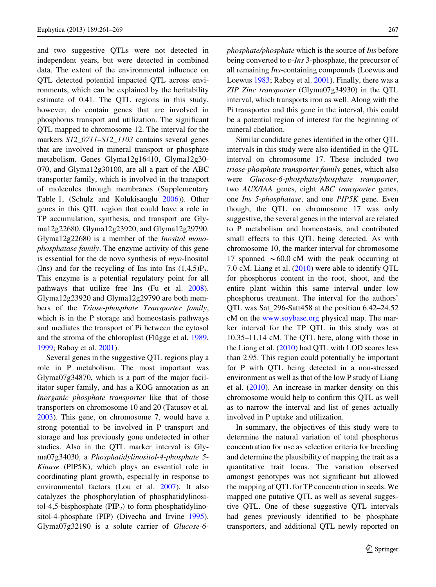and two suggestive QTLs were not detected in independent years, but were detected in combined data. The extent of the environmental influence on QTL detected potential impacted QTL across environments, which can be explained by the heritability estimate of 0.41. The QTL regions in this study, however, do contain genes that are involved in phosphorus transport and utilization. The significant QTL mapped to chromosome 12. The interval for the markers S12\_0711–S12\_1103 contains several genes that are involved in mineral transport or phosphate metabolism. Genes Glyma12g16410, Glyma12g30- 070, and Glyma12g30100, are all a part of the ABC transporter family, which is involved in the transport of molecules through membranes (Supplementary Table 1, (Schulz and Kolukisaoglu [2006](#page-8-0))). Other genes in this QTL region that could have a role in TP accumulation, synthesis, and transport are Glyma12g22680, Glyma12g23920, and Glyma12g29790. Glyma12g22680 is a member of the Inositol monophosphatase family. The enzyme activity of this gene is essential for the de novo synthesis of  $myo$ -Inositol (Ins) and for the recycling of Ins into Ins  $(1,4,5)P_3$ . This enzyme is a potential regulatory point for all pathways that utilize free Ins (Fu et al. [2008](#page-7-0)). Glyma12g23920 and Glyma12g29790 are both members of the Triose-phosphate Transporter family, which is in the P storage and homeostasis pathways and mediates the transport of Pi between the cytosol and the stroma of the chloroplast (Flügge et al. [1989,](#page-7-0) [1999;](#page-7-0) Raboy et al. [2001\)](#page-8-0).

Several genes in the suggestive QTL regions play a role in P metabolism. The most important was Glyma07g34870, which is a part of the major facilitator super family, and has a KOG annotation as an Inorganic phosphate transporter like that of those transporters on chromosome 10 and 20 (Tatusov et al. [2003\)](#page-8-0). This gene, on chromosome 7, would have a strong potential to be involved in P transport and storage and has previously gone undetected in other studies. Also in the QTL marker interval is Glyma07g34030, a Phosphatidylinositol-4-phosphate 5- Kinase (PIP5K), which plays an essential role in coordinating plant growth, especially in response to environmental factors (Lou et al. [2007](#page-7-0)). It also catalyzes the phosphorylation of phosphatidylinositol-4,5-bisphosphate ( $\text{PIP}_2$ ) to form phosphatidylinositol-4-phosphate (PIP) (Divecha and Irvine [1995](#page-7-0)). Glyma07g32190 is a solute carrier of Glucose-6phosphate/phosphate which is the source of Ins before being converted to  $D$ -*Ins* 3-phosphate, the precursor of all remaining Ins-containing compounds (Loewus and Loewus [1983;](#page-7-0) Raboy et al. [2001](#page-8-0)). Finally, there was a ZIP Zinc transporter (Glyma07g34930) in the QTL interval, which transports iron as well. Along with the Pi transporter and this gene in the interval, this could be a potential region of interest for the beginning of mineral chelation.

Similar candidate genes identified in the other QTL intervals in this study were also identified in the QTL interval on chromosome 17. These included two triose-phosphate transporter family genes, which also were Glucose-6-phosphate/phosphate transporter, two AUX/IAA genes, eight ABC transporter genes, one Ins 5-phosphatase, and one PIP5K gene. Even though, the QTL on chromosome 17 was only suggestive, the several genes in the interval are related to P metabolism and homeostasis, and contributed small effects to this QTL being detected. As with chromosome 10, the marker interval for chromosome 17 spanned  $\sim 60.0$  cM with the peak occurring at 7.0 cM. Liang et al. [\(2010](#page-7-0)) were able to identify QTL for phosphorus content in the root, shoot, and the entire plant within this same interval under low phosphorus treatment. The interval for the authors' QTL was Sat\_296-Satt458 at the position 6.42–24.52 cM on the [www.soybase.org](http://www.soybase.org) physical map. The marker interval for the TP QTL in this study was at 10.35–11.14 cM. The QTL here, along with those in the Liang et al. ([2010](#page-7-0)) had QTL with LOD scores less than 2.95. This region could potentially be important for P with QTL being detected in a non-stressed environment as well as that of the low P study of Liang et al. ([2010\)](#page-7-0). An increase in marker density on this chromosome would help to confirm this QTL as well as to narrow the interval and list of genes actually involved in P uptake and utilization.

In summary, the objectives of this study were to determine the natural variation of total phosphorus concentration for use as selection criteria for breeding and determine the plausibility of mapping the trait as a quantitative trait locus. The variation observed amongst genotypes was not significant but allowed the mapping of QTL for TP concentration in seeds. We mapped one putative QTL as well as several suggestive QTL. One of these suggestive QTL intervals had genes previously identified to be phosphate transporters, and additional QTL newly reported on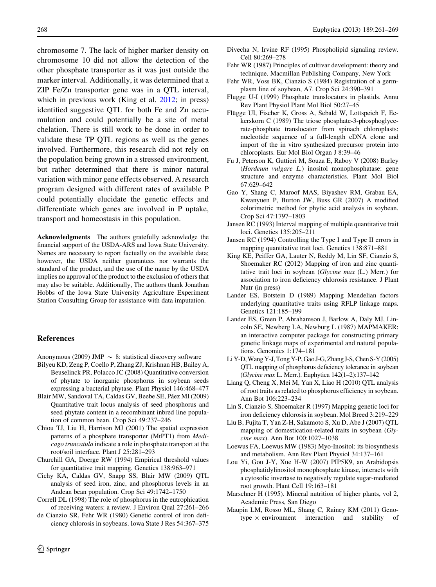<span id="page-7-0"></span>chromosome 7. The lack of higher marker density on chromosome 10 did not allow the detection of the other phosphate transporter as it was just outside the marker interval. Additionally, it was determined that a ZIP Fe/Zn transporter gene was in a QTL interval, which in previous work (King et al. 2012; in press) identified suggestive QTL for both Fe and Zn accumulation and could potentially be a site of metal chelation. There is still work to be done in order to validate these TP QTL regions as well as the genes involved. Furthermore, this research did not rely on the population being grown in a stressed environment, but rather determined that there is minor natural variation with minor gene effects observed. A research program designed with different rates of available P could potentially elucidate the genetic effects and differentiate which genes are involved in P uptake, transport and homeostasis in this population.

Acknowledgments The authors gratefully acknowledge the financial support of the USDA-ARS and Iowa State University. Names are necessary to report factually on the available data; however, the USDA neither guarantees nor warrants the standard of the product, and the use of the name by the USDA implies no approval of the product to the exclusion of others that may also be suitable. Additionally, The authors thank Jonathan Hobbs of the Iowa State University Agriculture Experiment Station Consulting Group for assistance with data imputation.

# References

Anonymous (2009) JMP  $\sim$  8: statistical discovery software

- Bilyeu KD, Zeng P, Coello P, Zhang ZJ, Krishnan HB, Bailey A, Beuselinck PR, Polacco JC (2008) Quantitative conversion of phytate to inorganic phosphorus in soybean seeds expressing a bacterial phytase. Plant Physiol 146:468–477
- Blair MW, Sandoval TA, Caldas GV, Beebe SE, Páez MI (2009) Quantitative trait locus analysis of seed phosphorus and seed phytate content in a recombinant inbred line population of common bean. Crop Sci 49:237–246
- Chiou TJ, Liu H, Harrison MJ (2001) The spatial expression patterns of a phosphate transporter (MtPT1) from Medicago truncatula indicate a role in phosphate transport at the root/soil interface. Plant J 25:281–293
- Churchill GA, Doerge RW (1994) Empirical threshold values for quantitative trait mapping. Genetics 138:963–971
- Cichy KA, Caldas GV, Snapp SS, Blair MW (2009) QTL analysis of seed iron, zinc, and phosphorus levels in an Andean bean population. Crop Sci 49:1742–1750
- Correll DL (1998) The role of phosphorus in the eutrophication of receiving waters: a review. J Environ Qual 27:261–266
- de Cianzio SR, Fehr WR (1980) Genetic control of iron deficiency chlorosis in soybeans. Iowa State J Res 54:367–375
- Divecha N, Irvine RF (1995) Phospholipid signaling review. Cell 80:269–278
- Fehr WR (1987) Principles of cultivar development: theory and technique. Macmillan Publishing Company, New York
- Fehr WR, Voss BK, Cianzio S (1984) Registration of a germplasm line of soybean, A7. Crop Sci 24:390–391
- Flugge U-I (1999) Phosphate translocators in plastids. Annu Rev Plant Physiol Plant Mol Biol 50:27–45
- Flügge UI, Fischer K, Gross A, Sebald W, Lottspeich F, Eckerskorn C (1989) The triose phosphate-3-phosphoglycerate-phosphate translocator from spinach chloroplasts: nucleotide sequence of a full-length cDNA clone and import of the in vitro synthesized precursor protein into chloroplasts. Eur Mol Biol Organ J 8:39–46
- Fu J, Peterson K, Guttieri M, Souza E, Raboy V (2008) Barley (Hordeum vulgare L.) inositol monophosphatase: gene structure and enzyme characteristics. Plant Mol Biol 67:629–642
- Gao Y, Shang C, Maroof MAS, Biyashev RM, Grabau EA, Kwanyuen P, Burton JW, Buss GR (2007) A modified colorimetric method for phytic acid analysis in soybean. Crop Sci 47:1797–1803
- Jansen RC (1993) Interval mapping of multiple quantitative trait loci. Genetics 135:205–211
- Jansen RC (1994) Controlling the Type I and Type II errors in mapping quantitative trait loci. Genetics 138:871–881
- King KE, Peiffer GA, Lauter N, Reddy M, Lin SF, Cianzio S, Shoemaker RC (2012) Mapping of iron and zinc quantitative trait loci in soybean (Glycine max (L.) Merr.) for association to iron deficiency chlorosis resistance. J Plant Nutr (in press)
- Lander ES, Botstein D (1989) Mapping Mendelian factors underlying quantitative traits using RFLP linkage maps. Genetics 121:185–199
- Lander ES, Green P, Abrahamson J, Barlow A, Daly MJ, Lincoln SE, Newberg LA, Newburg L (1987) MAPMAKER: an interactive computer package for constructing primary genetic linkage maps of experimental and natural populations. Genomics 1:174–181
- Li Y-D, Wang Y-J,Tong Y-P,GaoJ-G,Zhang J-S, ChenS-Y (2005) QTL mapping of phosphorus deficiency tolerance in soybean (Glycine max L. Merr.). Euphytica 142(1–2):137–142
- Liang Q, Cheng X, Mei M, Yan X, Liao H (2010) QTL analysis of root traits as related to phosphorus efficiency in soybean. Ann Bot 106:223–234
- Lin S, Cianzio S, Shoemaker R (1997) Mapping genetic loci for iron deficiency chlorosis in soybean. Mol Breed 3:219–229
- Liu B, Fujita T, Yan Z-H, Sakamoto S, Xu D, Abe J (2007) QTL mapping of domestication-related traits in soybean (Glycine max). Ann Bot 100:1027–1038
- Loewus FA, Loewus MW (1983) Myo-Inositol: its biosynthesis and metabolism. Ann Rev Plant Physiol 34:137–161
- Lou Yi, Gou J-Y, Xue H-W (2007) PIP5K9, an Arabidopsis phosphatidylinositol monophosphate kinase, interacts with a cytosolic invertase to negatively regulate sugar-mediated root growth. Plant Cell 19:163–181
- Marschner H (1995). Mineral nutrition of higher plants, vol 2, Academic Press, San Diego
- Maupin LM, Rosso ML, Shang C, Rainey KM (2011) Genotype  $\times$  environment interaction and stability of